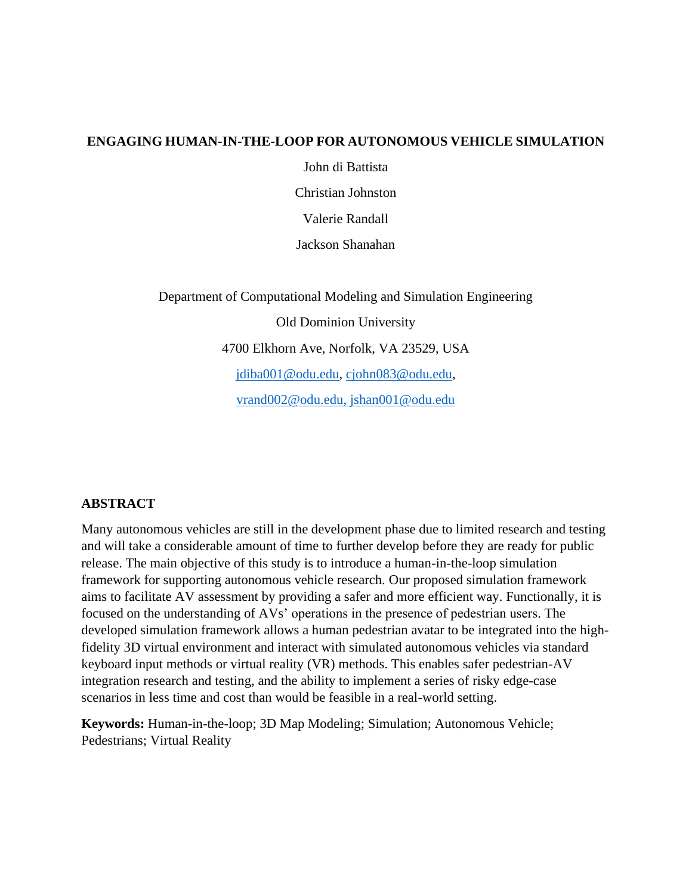#### **ENGAGING HUMAN-IN-THE-LOOP FOR AUTONOMOUS VEHICLE SIMULATION**

John di Battista

Christian Johnston

Valerie Randall

Jackson Shanahan

Department of Computational Modeling and Simulation Engineering Old Dominion University 4700 Elkhorn Ave, Norfolk, VA 23529, USA [jdiba001@odu.edu,](mailto:jdiba001@odu.edu) [cjohn083@odu.edu,](mailto:cjohn083@odu.edu) [vrand002@odu.edu,](mailto:vrand002@odu.edu) [jshan001@odu.edu](mailto:jshan001@odu.edu)

#### **ABSTRACT**

Many autonomous vehicles are still in the development phase due to limited research and testing and will take a considerable amount of time to further develop before they are ready for public release. The main objective of this study is to introduce a human-in-the-loop simulation framework for supporting autonomous vehicle research. Our proposed simulation framework aims to facilitate AV assessment by providing a safer and more efficient way. Functionally, it is focused on the understanding of AVs' operations in the presence of pedestrian users. The developed simulation framework allows a human pedestrian avatar to be integrated into the highfidelity 3D virtual environment and interact with simulated autonomous vehicles via standard keyboard input methods or virtual reality (VR) methods. This enables safer pedestrian-AV integration research and testing, and the ability to implement a series of risky edge-case scenarios in less time and cost than would be feasible in a real-world setting.

**Keywords:** Human-in-the-loop; 3D Map Modeling; Simulation; Autonomous Vehicle; Pedestrians; Virtual Reality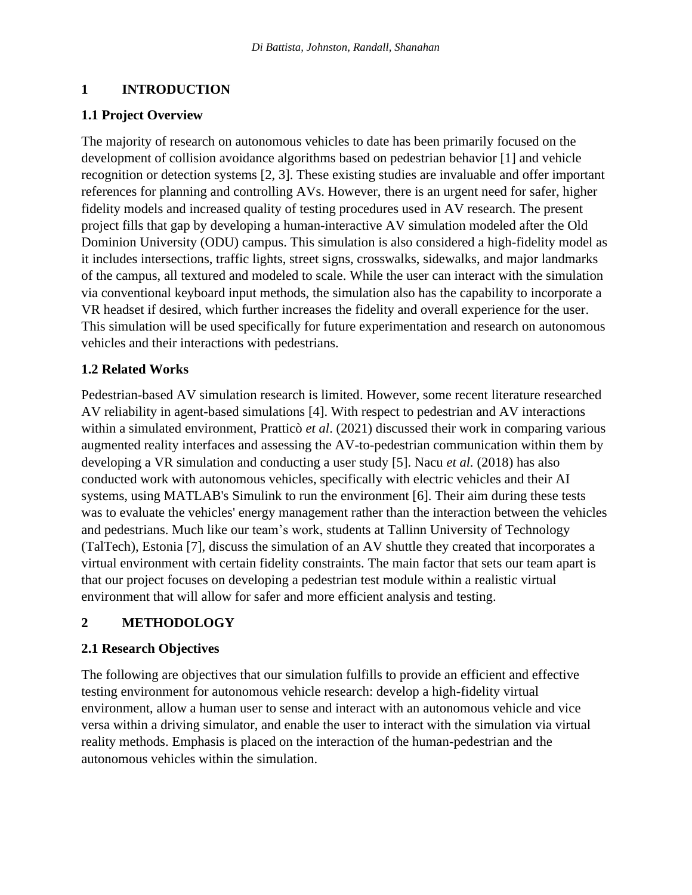# **1 INTRODUCTION**

# **1.1 Project Overview**

The majority of research on autonomous vehicles to date has been primarily focused on the development of collision avoidance algorithms based on pedestrian behavior [1] and vehicle recognition or detection systems [2, 3]. These existing studies are invaluable and offer important references for planning and controlling AVs. However, there is an urgent need for safer, higher fidelity models and increased quality of testing procedures used in AV research. The present project fills that gap by developing a human-interactive AV simulation modeled after the Old Dominion University (ODU) campus. This simulation is also considered a high-fidelity model as it includes intersections, traffic lights, street signs, crosswalks, sidewalks, and major landmarks of the campus, all textured and modeled to scale. While the user can interact with the simulation via conventional keyboard input methods, the simulation also has the capability to incorporate a VR headset if desired, which further increases the fidelity and overall experience for the user. This simulation will be used specifically for future experimentation and research on autonomous vehicles and their interactions with pedestrians.

# **1.2 Related Works**

Pedestrian-based AV simulation research is limited. However, some recent literature researched AV reliability in agent-based simulations [4]. With respect to pedestrian and AV interactions within a simulated environment, Pratticò *et al*. (2021) discussed their work in comparing various augmented reality interfaces and assessing the AV-to-pedestrian communication within them by developing a VR simulation and conducting a user study [5]. Nacu *et al.* (2018) has also conducted work with autonomous vehicles, specifically with electric vehicles and their AI systems, using MATLAB's Simulink to run the environment [6]. Their aim during these tests was to evaluate the vehicles' energy management rather than the interaction between the vehicles and pedestrians. Much like our team's work, students at Tallinn University of Technology (TalTech), Estonia [7], discuss the simulation of an AV shuttle they created that incorporates a virtual environment with certain fidelity constraints. The main factor that sets our team apart is that our project focuses on developing a pedestrian test module within a realistic virtual environment that will allow for safer and more efficient analysis and testing.

# **2 METHODOLOGY**

## **2.1 Research Objectives**

The following are objectives that our simulation fulfills to provide an efficient and effective testing environment for autonomous vehicle research: develop a high-fidelity virtual environment, allow a human user to sense and interact with an autonomous vehicle and vice versa within a driving simulator, and enable the user to interact with the simulation via virtual reality methods. Emphasis is placed on the interaction of the human-pedestrian and the autonomous vehicles within the simulation.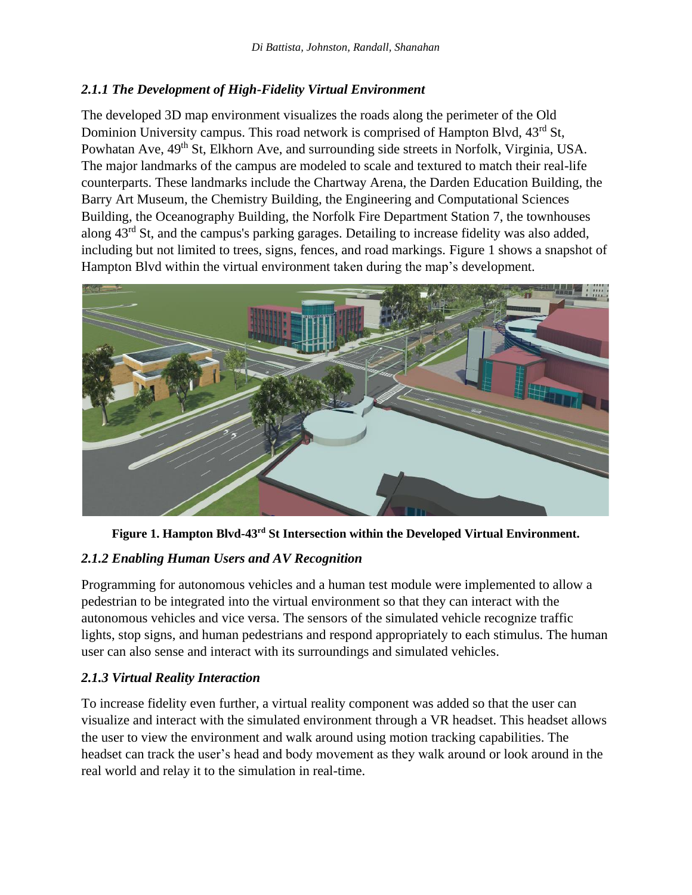## *2.1.1 The Development of High-Fidelity Virtual Environment*

The developed 3D map environment visualizes the roads along the perimeter of the Old Dominion University campus. This road network is comprised of Hampton Blvd,  $43^{\text{rd}}$  St, Powhatan Ave, 49<sup>th</sup> St, Elkhorn Ave, and surrounding side streets in Norfolk, Virginia, USA. The major landmarks of the campus are modeled to scale and textured to match their real-life counterparts. These landmarks include the Chartway Arena, the Darden Education Building, the Barry Art Museum, the Chemistry Building, the Engineering and Computational Sciences Building, the Oceanography Building, the Norfolk Fire Department Station 7, the townhouses along 43rd St, and the campus's parking garages. Detailing to increase fidelity was also added, including but not limited to trees, signs, fences, and road markings. Figure 1 shows a snapshot of Hampton Blvd within the virtual environment taken during the map's development.



**Figure 1. Hampton Blvd-43rd St Intersection within the Developed Virtual Environment.**

## *2.1.2 Enabling Human Users and AV Recognition*

Programming for autonomous vehicles and a human test module were implemented to allow a pedestrian to be integrated into the virtual environment so that they can interact with the autonomous vehicles and vice versa. The sensors of the simulated vehicle recognize traffic lights, stop signs, and human pedestrians and respond appropriately to each stimulus. The human user can also sense and interact with its surroundings and simulated vehicles.

## *2.1.3 Virtual Reality Interaction*

To increase fidelity even further, a virtual reality component was added so that the user can visualize and interact with the simulated environment through a VR headset. This headset allows the user to view the environment and walk around using motion tracking capabilities. The headset can track the user's head and body movement as they walk around or look around in the real world and relay it to the simulation in real-time.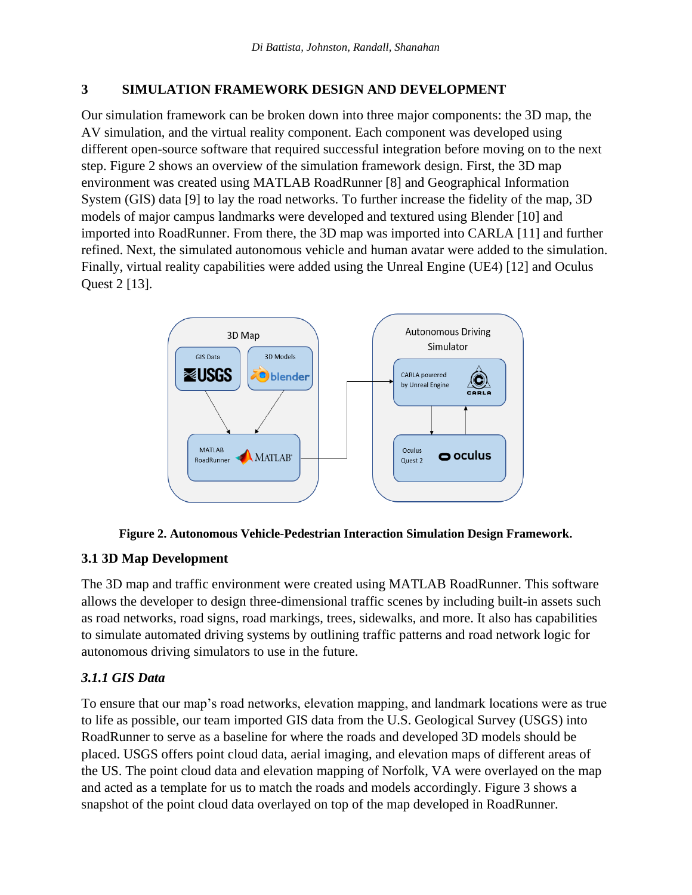#### **3 SIMULATION FRAMEWORK DESIGN AND DEVELOPMENT**

Our simulation framework can be broken down into three major components: the 3D map, the AV simulation, and the virtual reality component. Each component was developed using different open-source software that required successful integration before moving on to the next step. Figure 2 shows an overview of the simulation framework design. First, the 3D map environment was created using MATLAB RoadRunner [8] and Geographical Information System (GIS) data [9] to lay the road networks. To further increase the fidelity of the map, 3D models of major campus landmarks were developed and textured using Blender [10] and imported into RoadRunner. From there, the 3D map was imported into CARLA [11] and further refined. Next, the simulated autonomous vehicle and human avatar were added to the simulation. Finally, virtual reality capabilities were added using the Unreal Engine (UE4) [12] and Oculus Quest 2 [13].





## **3.1 3D Map Development**

The 3D map and traffic environment were created using MATLAB RoadRunner. This software allows the developer to design three-dimensional traffic scenes by including built-in assets such as road networks, road signs, road markings, trees, sidewalks, and more. It also has capabilities to simulate automated driving systems by outlining traffic patterns and road network logic for autonomous driving simulators to use in the future.

## *3.1.1 GIS Data*

To ensure that our map's road networks, elevation mapping, and landmark locations were as true to life as possible, our team imported GIS data from the U.S. Geological Survey (USGS) into RoadRunner to serve as a baseline for where the roads and developed 3D models should be placed. USGS offers point cloud data, aerial imaging, and elevation maps of different areas of the US. The point cloud data and elevation mapping of Norfolk, VA were overlayed on the map and acted as a template for us to match the roads and models accordingly. Figure 3 shows a snapshot of the point cloud data overlayed on top of the map developed in RoadRunner.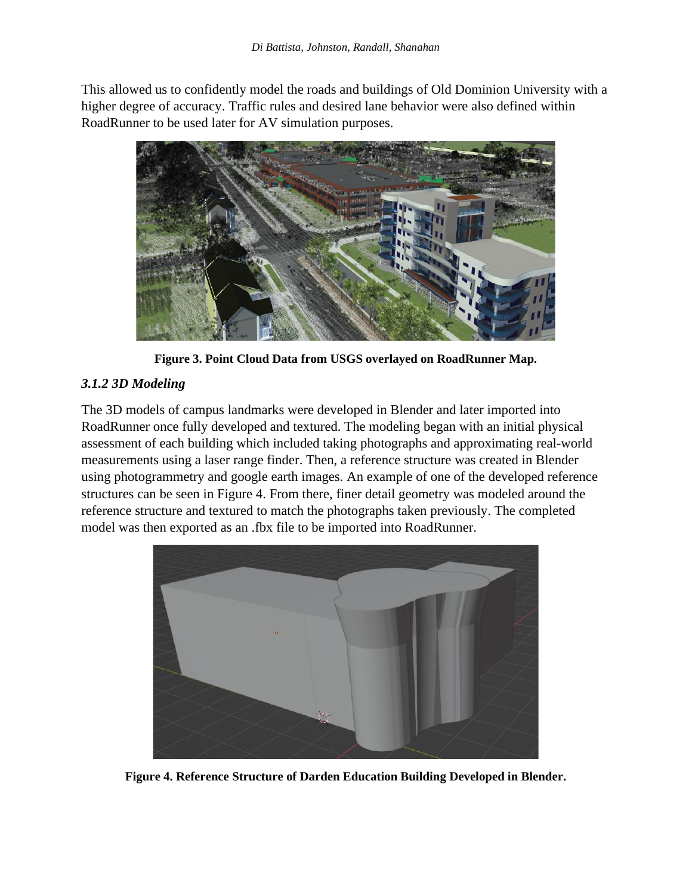This allowed us to confidently model the roads and buildings of Old Dominion University with a higher degree of accuracy. Traffic rules and desired lane behavior were also defined within RoadRunner to be used later for AV simulation purposes.



**Figure 3. Point Cloud Data from USGS overlayed on RoadRunner Map.**

#### *3.1.2 3D Modeling*

The 3D models of campus landmarks were developed in Blender and later imported into RoadRunner once fully developed and textured. The modeling began with an initial physical assessment of each building which included taking photographs and approximating real-world measurements using a laser range finder. Then, a reference structure was created in Blender using photogrammetry and google earth images. An example of one of the developed reference structures can be seen in Figure 4. From there, finer detail geometry was modeled around the reference structure and textured to match the photographs taken previously. The completed model was then exported as an .fbx file to be imported into RoadRunner.



**Figure 4. Reference Structure of Darden Education Building Developed in Blender.**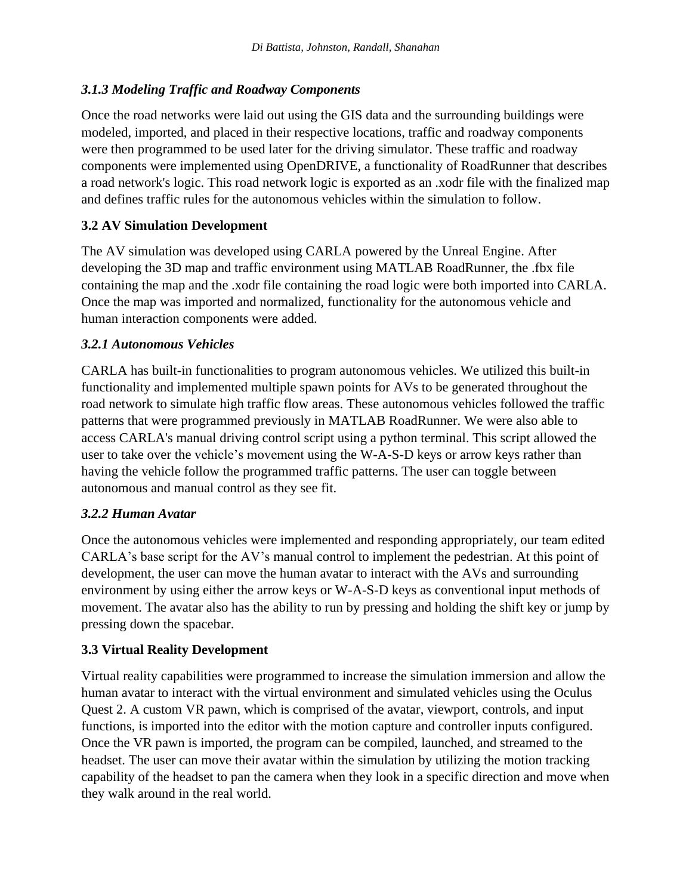## *3.1.3 Modeling Traffic and Roadway Components*

Once the road networks were laid out using the GIS data and the surrounding buildings were modeled, imported, and placed in their respective locations, traffic and roadway components were then programmed to be used later for the driving simulator. These traffic and roadway components were implemented using OpenDRIVE, a functionality of RoadRunner that describes a road network's logic. This road network logic is exported as an .xodr file with the finalized map and defines traffic rules for the autonomous vehicles within the simulation to follow.

## **3.2 AV Simulation Development**

The AV simulation was developed using CARLA powered by the Unreal Engine. After developing the 3D map and traffic environment using MATLAB RoadRunner, the .fbx file containing the map and the .xodr file containing the road logic were both imported into CARLA. Once the map was imported and normalized, functionality for the autonomous vehicle and human interaction components were added.

## *3.2.1 Autonomous Vehicles*

CARLA has built-in functionalities to program autonomous vehicles. We utilized this built-in functionality and implemented multiple spawn points for AVs to be generated throughout the road network to simulate high traffic flow areas. These autonomous vehicles followed the traffic patterns that were programmed previously in MATLAB RoadRunner. We were also able to access CARLA's manual driving control script using a python terminal. This script allowed the user to take over the vehicle's movement using the W-A-S-D keys or arrow keys rather than having the vehicle follow the programmed traffic patterns. The user can toggle between autonomous and manual control as they see fit.

## *3.2.2 Human Avatar*

Once the autonomous vehicles were implemented and responding appropriately, our team edited CARLA's base script for the AV's manual control to implement the pedestrian. At this point of development, the user can move the human avatar to interact with the AVs and surrounding environment by using either the arrow keys or W-A-S-D keys as conventional input methods of movement. The avatar also has the ability to run by pressing and holding the shift key or jump by pressing down the spacebar.

# **3.3 Virtual Reality Development**

Virtual reality capabilities were programmed to increase the simulation immersion and allow the human avatar to interact with the virtual environment and simulated vehicles using the Oculus Quest 2. A custom VR pawn, which is comprised of the avatar, viewport, controls, and input functions, is imported into the editor with the motion capture and controller inputs configured. Once the VR pawn is imported, the program can be compiled, launched, and streamed to the headset. The user can move their avatar within the simulation by utilizing the motion tracking capability of the headset to pan the camera when they look in a specific direction and move when they walk around in the real world.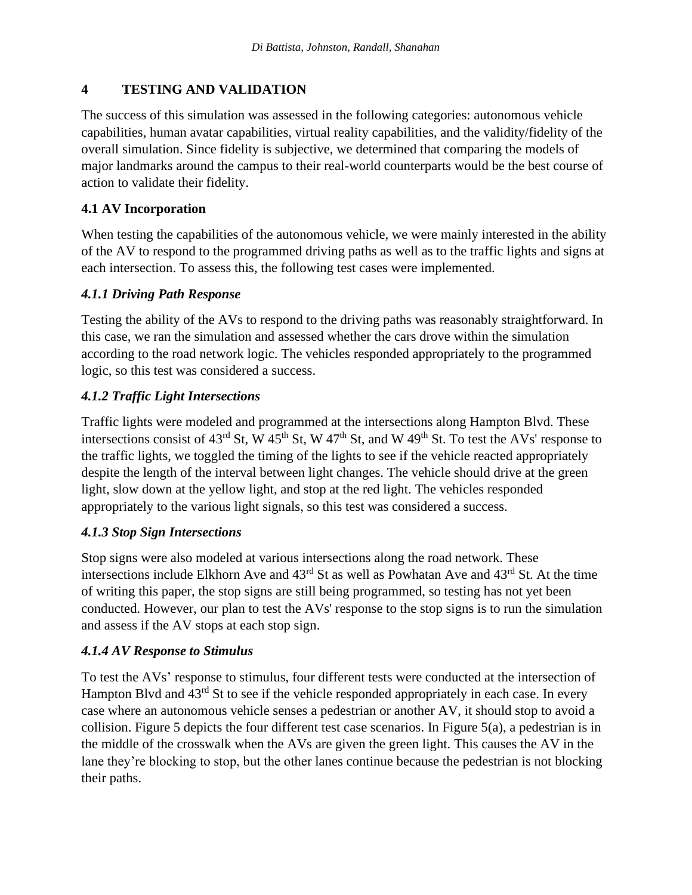## **4 TESTING AND VALIDATION**

The success of this simulation was assessed in the following categories: autonomous vehicle capabilities, human avatar capabilities, virtual reality capabilities, and the validity/fidelity of the overall simulation. Since fidelity is subjective, we determined that comparing the models of major landmarks around the campus to their real-world counterparts would be the best course of action to validate their fidelity.

## **4.1 AV Incorporation**

When testing the capabilities of the autonomous vehicle, we were mainly interested in the ability of the AV to respond to the programmed driving paths as well as to the traffic lights and signs at each intersection. To assess this, the following test cases were implemented.

## *4.1.1 Driving Path Response*

Testing the ability of the AVs to respond to the driving paths was reasonably straightforward. In this case, we ran the simulation and assessed whether the cars drove within the simulation according to the road network logic. The vehicles responded appropriately to the programmed logic, so this test was considered a success.

# *4.1.2 Traffic Light Intersections*

Traffic lights were modeled and programmed at the intersections along Hampton Blvd. These intersections consist of  $43^{\text{rd}}$  St, W  $45^{\text{th}}$  St, W  $47^{\text{th}}$  St, and W  $49^{\text{th}}$  St. To test the AVs' response to the traffic lights, we toggled the timing of the lights to see if the vehicle reacted appropriately despite the length of the interval between light changes. The vehicle should drive at the green light, slow down at the yellow light, and stop at the red light. The vehicles responded appropriately to the various light signals, so this test was considered a success.

## *4.1.3 Stop Sign Intersections*

Stop signs were also modeled at various intersections along the road network. These intersections include Elkhorn Ave and  $43<sup>rd</sup>$  St as well as Powhatan Ave and  $43<sup>rd</sup>$  St. At the time of writing this paper, the stop signs are still being programmed, so testing has not yet been conducted. However, our plan to test the AVs' response to the stop signs is to run the simulation and assess if the AV stops at each stop sign.

## *4.1.4 AV Response to Stimulus*

To test the AVs' response to stimulus, four different tests were conducted at the intersection of Hampton Blvd and 43<sup>rd</sup> St to see if the vehicle responded appropriately in each case. In every case where an autonomous vehicle senses a pedestrian or another AV, it should stop to avoid a collision. Figure 5 depicts the four different test case scenarios. In Figure 5(a), a pedestrian is in the middle of the crosswalk when the AVs are given the green light. This causes the AV in the lane they're blocking to stop, but the other lanes continue because the pedestrian is not blocking their paths.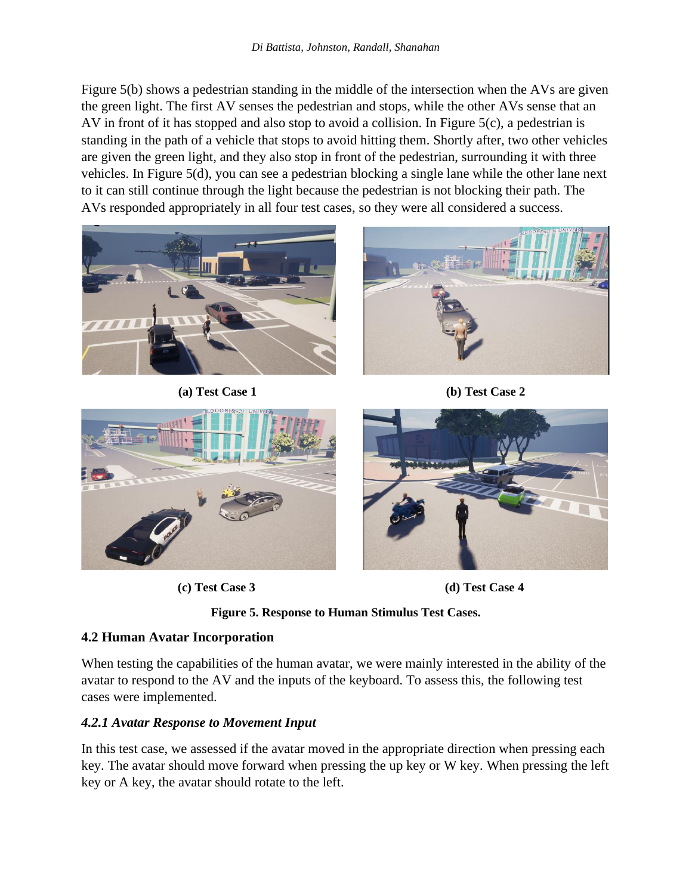Figure 5(b) shows a pedestrian standing in the middle of the intersection when the AVs are given the green light. The first AV senses the pedestrian and stops, while the other AVs sense that an AV in front of it has stopped and also stop to avoid a collision. In Figure 5(c), a pedestrian is standing in the path of a vehicle that stops to avoid hitting them. Shortly after, two other vehicles are given the green light, and they also stop in front of the pedestrian, surrounding it with three vehicles. In Figure 5(d), you can see a pedestrian blocking a single lane while the other lane next to it can still continue through the light because the pedestrian is not blocking their path. The AVs responded appropriately in all four test cases, so they were all considered a success.



 **(a) Test Case 1 (b) Test Case 2**













# **4.2 Human Avatar Incorporation**

When testing the capabilities of the human avatar, we were mainly interested in the ability of the avatar to respond to the AV and the inputs of the keyboard. To assess this, the following test cases were implemented.

# *4.2.1 Avatar Response to Movement Input*

In this test case, we assessed if the avatar moved in the appropriate direction when pressing each key. The avatar should move forward when pressing the up key or W key. When pressing the left key or A key, the avatar should rotate to the left.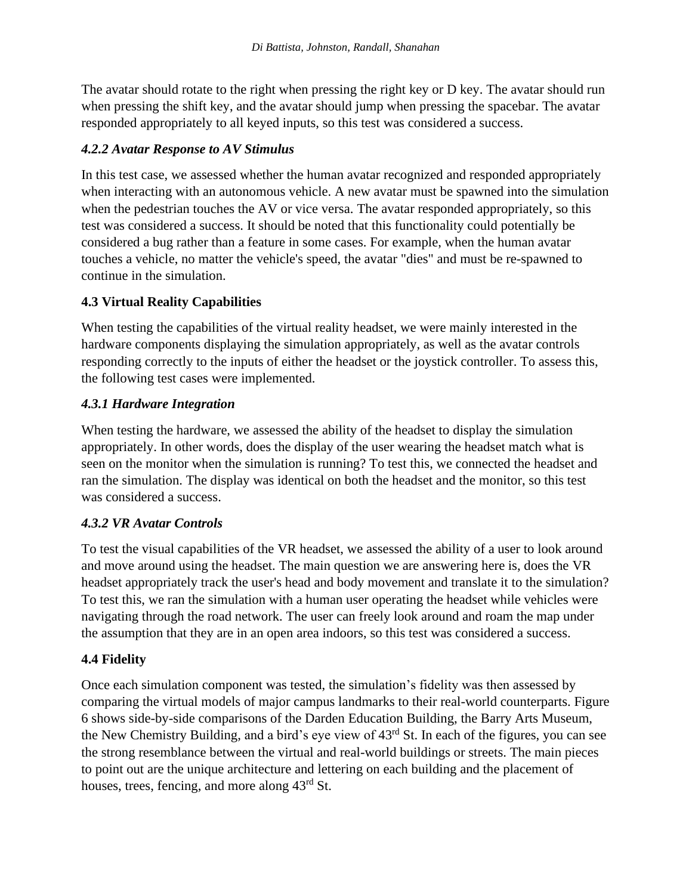The avatar should rotate to the right when pressing the right key or D key. The avatar should run when pressing the shift key, and the avatar should jump when pressing the spacebar. The avatar responded appropriately to all keyed inputs, so this test was considered a success.

#### *4.2.2 Avatar Response to AV Stimulus*

In this test case, we assessed whether the human avatar recognized and responded appropriately when interacting with an autonomous vehicle. A new avatar must be spawned into the simulation when the pedestrian touches the AV or vice versa. The avatar responded appropriately, so this test was considered a success. It should be noted that this functionality could potentially be considered a bug rather than a feature in some cases. For example, when the human avatar touches a vehicle, no matter the vehicle's speed, the avatar "dies" and must be re-spawned to continue in the simulation.

#### **4.3 Virtual Reality Capabilities**

When testing the capabilities of the virtual reality headset, we were mainly interested in the hardware components displaying the simulation appropriately, as well as the avatar controls responding correctly to the inputs of either the headset or the joystick controller. To assess this, the following test cases were implemented.

#### *4.3.1 Hardware Integration*

When testing the hardware, we assessed the ability of the headset to display the simulation appropriately. In other words, does the display of the user wearing the headset match what is seen on the monitor when the simulation is running? To test this, we connected the headset and ran the simulation. The display was identical on both the headset and the monitor, so this test was considered a success.

## *4.3.2 VR Avatar Controls*

To test the visual capabilities of the VR headset, we assessed the ability of a user to look around and move around using the headset. The main question we are answering here is, does the VR headset appropriately track the user's head and body movement and translate it to the simulation? To test this, we ran the simulation with a human user operating the headset while vehicles were navigating through the road network. The user can freely look around and roam the map under the assumption that they are in an open area indoors, so this test was considered a success.

## **4.4 Fidelity**

Once each simulation component was tested, the simulation's fidelity was then assessed by comparing the virtual models of major campus landmarks to their real-world counterparts. Figure 6 shows side-by-side comparisons of the Darden Education Building, the Barry Arts Museum, the New Chemistry Building, and a bird's eye view of 43rd St. In each of the figures, you can see the strong resemblance between the virtual and real-world buildings or streets. The main pieces to point out are the unique architecture and lettering on each building and the placement of houses, trees, fencing, and more along 43rd St.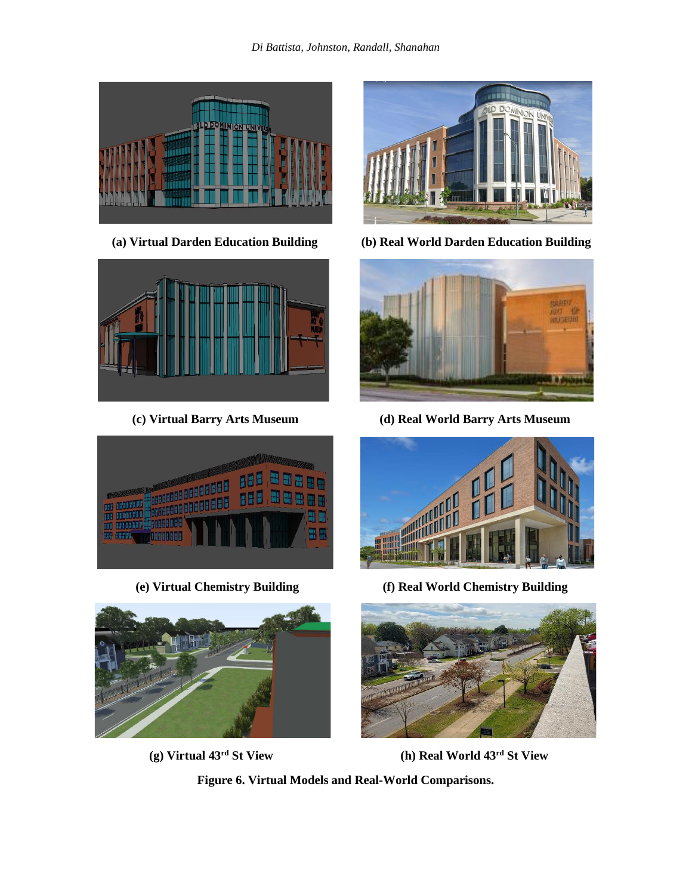









**(a) Virtual Darden Education Building (b) Real World Darden Education Building**



**(c) Virtual Barry Arts Museum (d) Real World Barry Arts Museum**



 **(e) Virtual Chemistry Building (f) Real World Chemistry Building**



**(g) Virtual 43rd St View (h) Real World 43rd St View**

**Figure 6. Virtual Models and Real-World Comparisons.**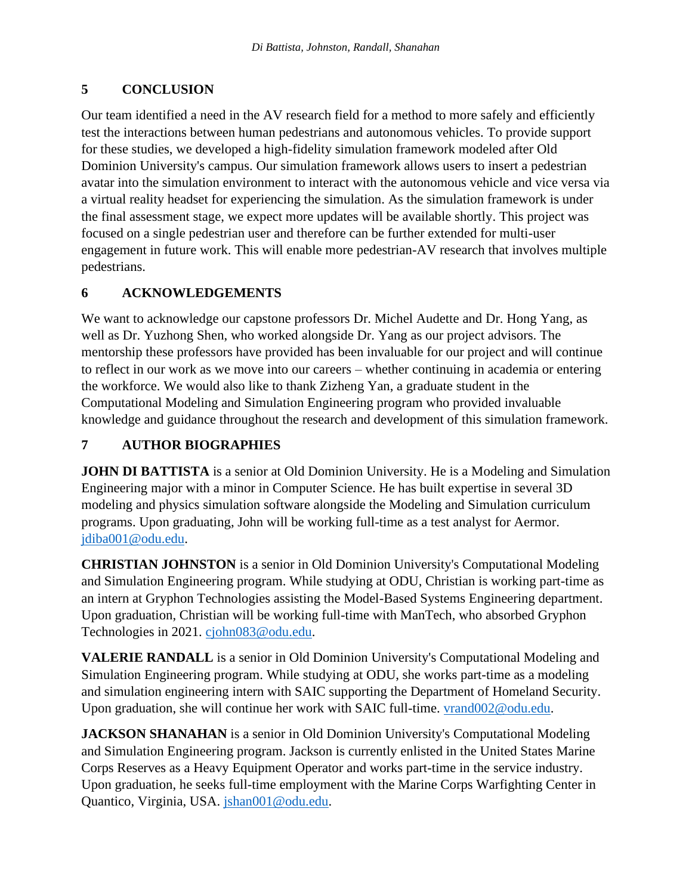## **5 CONCLUSION**

Our team identified a need in the AV research field for a method to more safely and efficiently test the interactions between human pedestrians and autonomous vehicles. To provide support for these studies, we developed a high-fidelity simulation framework modeled after Old Dominion University's campus. Our simulation framework allows users to insert a pedestrian avatar into the simulation environment to interact with the autonomous vehicle and vice versa via a virtual reality headset for experiencing the simulation. As the simulation framework is under the final assessment stage, we expect more updates will be available shortly. This project was focused on a single pedestrian user and therefore can be further extended for multi-user engagement in future work. This will enable more pedestrian-AV research that involves multiple pedestrians.

## **6 ACKNOWLEDGEMENTS**

We want to acknowledge our capstone professors Dr. Michel Audette and Dr. Hong Yang, as well as Dr. Yuzhong Shen, who worked alongside Dr. Yang as our project advisors. The mentorship these professors have provided has been invaluable for our project and will continue to reflect in our work as we move into our careers – whether continuing in academia or entering the workforce. We would also like to thank Zizheng Yan, a graduate student in the Computational Modeling and Simulation Engineering program who provided invaluable knowledge and guidance throughout the research and development of this simulation framework.

## **7 AUTHOR BIOGRAPHIES**

**JOHN DI BATTISTA** is a senior at Old Dominion University. He is a Modeling and Simulation Engineering major with a minor in Computer Science. He has built expertise in several 3D modeling and physics simulation software alongside the Modeling and Simulation curriculum programs. Upon graduating, John will be working full-time as a test analyst for Aermor. [jdiba001@odu.edu.](mailto:jdiba001@odu.edu)

**CHRISTIAN JOHNSTON** is a senior in Old Dominion University's Computational Modeling and Simulation Engineering program. While studying at ODU, Christian is working part-time as an intern at Gryphon Technologies assisting the Model-Based Systems Engineering department. Upon graduation, Christian will be working full-time with ManTech, who absorbed Gryphon Technologies in 2021. [cjohn083@odu.edu.](mailto:cjohn083@odu.edu)

**VALERIE RANDALL** is a senior in Old Dominion University's Computational Modeling and Simulation Engineering program. While studying at ODU, she works part-time as a modeling and simulation engineering intern with SAIC supporting the Department of Homeland Security. Upon graduation, she will continue her work with SAIC full-time. [vrand002@odu.edu.](mailto:vrand002@odu.edu)

**JACKSON SHANAHAN** is a senior in Old Dominion University's Computational Modeling and Simulation Engineering program. Jackson is currently enlisted in the United States Marine Corps Reserves as a Heavy Equipment Operator and works part-time in the service industry. Upon graduation, he seeks full-time employment with the Marine Corps Warfighting Center in Quantico, Virginia, USA. [jshan001@odu.edu.](mailto:jshan001@odu.edu)